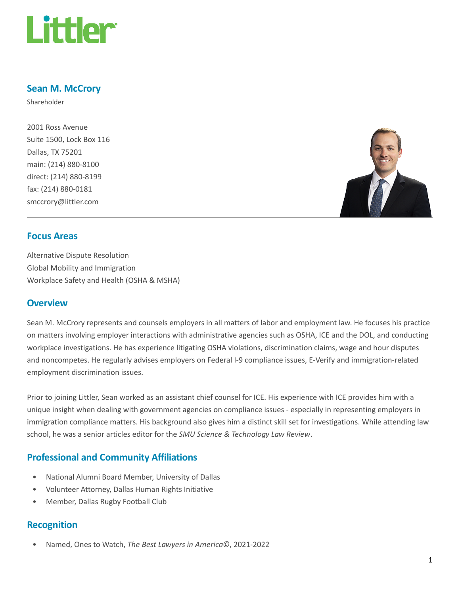

# Sean M. McCrory

Shareholder

2001 Ross Avenue Suite 1500, Lock Box 116 Dallas, TX 75201 main: (214) 880-8100 direct: (214) 880-8199 fax: (214) 880-0181 smccrory@littler.com



## Focus Areas

Alternative Dispute Resolution Global Mobility and Immigration Workplace Safety and Health (OSHA & MSHA)

## **Overview**

Sean M. McCrory represents and counsels employers in all matters of labor and employment law. He focuses his practice on matters involving employer interactions with administrative agencies such as OSHA, ICE and the DOL, and conducting workplace investigations. He has experience litigating OSHA violations, discrimination claims, wage and hour disputes and noncompetes. He regularly advises employers on Federal I-9 compliance issues, E-Verify and immigration-related employment discrimination issues.

Prior to joining Littler, Sean worked as an assistant chief counsel for ICE. His experience with ICE provides him with a unique insight when dealing with government agencies on compliance issues - especially in representing employers in immigration compliance matters. His background also gives him a distinct skill set for investigations. While attending law school, he was a senior articles editor for the SMU Science & Technology Law Review.

# Professional and Community Affiliations

- National Alumni Board Member, University of Dallas
- Volunteer Attorney, Dallas Human Rights Initiative
- Member, Dallas Rugby Football Club

## Recognition

• Named, Ones to Watch, The Best Lawyers in America©, 2021-2022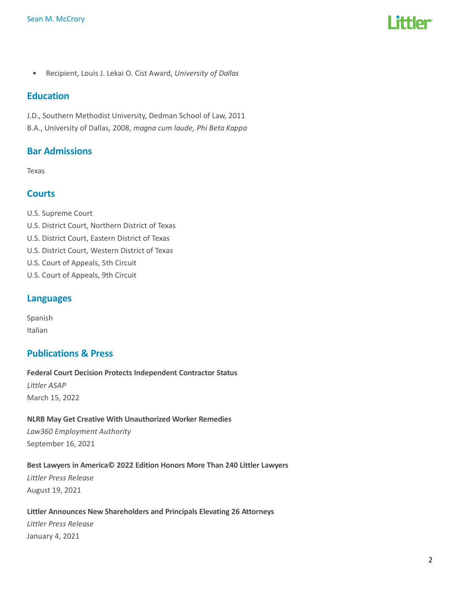

• Recipient, Louis J. Lekai O. Cist Award, University of Dallas

## **Education**

J.D., Southern Methodist University, Dedman School of Law, 2011 B.A., University of Dallas, 2008, magna cum laude, Phi Beta Kappa

# Bar Admissions

Texas

### **Courts**

U.S. Supreme Court U.S. District Court, Northern District of Texas U.S. District Court, Eastern District of Texas U.S. District Court, Western District of Texas U.S. Court of Appeals, 5th Circuit U.S. Court of Appeals, 9th Circuit

## Languages

Spanish Italian

# Publications & Press

Federal Court Decision Protects Independent Contractor Status Littler ASAP March 15, 2022

# NLRB May Get Creative With Unauthorized Worker Remedies

Law360 Employment Authority September 16, 2021

#### Best Lawyers in America© 2022 Edition Honors More Than 240 Littler Lawyers

Littler Press Release August 19, 2021

#### Littler Announces New Shareholders and Principals Elevating 26 Attorneys

Littler Press Release January 4, 2021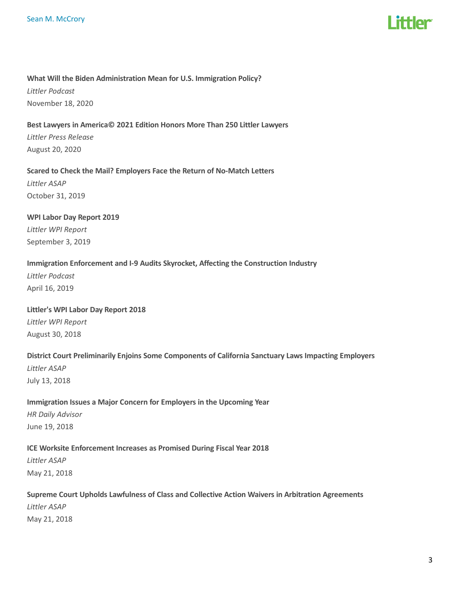

#### What Will the Biden Administration Mean for U.S. Immigration Policy?

Littler Podcast November 18, 2020

### Best Lawyers in America© 2021 Edition Honors More Than 250 Littler Lawyers

Littler Press Release August 20, 2020

### Scared to Check the Mail? Employers Face the Return of No-Match Letters Littler ASAP

October 31, 2019

# WPI Labor Day Report 2019

Littler WPI Report September 3, 2019

### Immigration Enforcement and I-9 Audits Skyrocket, Affecting the Construction Industry

Littler Podcast April 16, 2019

#### Littler's WPI Labor Day Report 2018

Littler WPI Report August 30, 2018

# District Court Preliminarily Enjoins Some Components of California Sanctuary Laws Impacting Employers Littler ASAP

July 13, 2018

## Immigration Issues a Major Concern for Employers in the Upcoming Year

HR Daily Advisor June 19, 2018

### ICE Worksite Enforcement Increases as Promised During Fiscal Year 2018

Littler ASAP May 21, 2018

# Supreme Court Upholds Lawfulness of Class and Collective Action Waivers in Arbitration Agreements

Littler ASAP May 21, 2018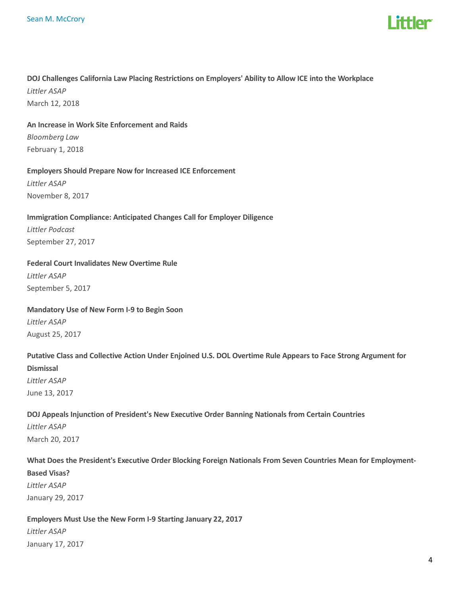

# DOJ Challenges California Law Placing Restrictions on Employers' Ability to Allow ICE into the Workplace Littler ASAP

March 12, 2018

### An Increase in Work Site Enforcement and Raids

Bloomberg Law February 1, 2018

### Employers Should Prepare Now for Increased ICE Enforcement

Littler ASAP November 8, 2017

### Immigration Compliance: Anticipated Changes Call for Employer Diligence

Littler Podcast September 27, 2017

### Federal Court Invalidates New Overtime Rule

Littler ASAP September 5, 2017

### Mandatory Use of New Form I-9 to Begin Soon

Littler ASAP August 25, 2017

# Putative Class and Collective Action Under Enjoined U.S. DOL Overtime Rule Appears to Face Strong Argument for Dismissal Littler ASAP June 13, 2017

# DOJ Appeals Injunction of President's New Executive Order Banning Nationals from Certain Countries Littler ASAP March 20, 2017

# What Does the President's Executive Order Blocking Foreign Nationals From Seven Countries Mean for Employment-Based Visas? Littler ASAP January 29, 2017

Employers Must Use the New Form I-9 Starting January 22, 2017 Littler ASAP January 17, 2017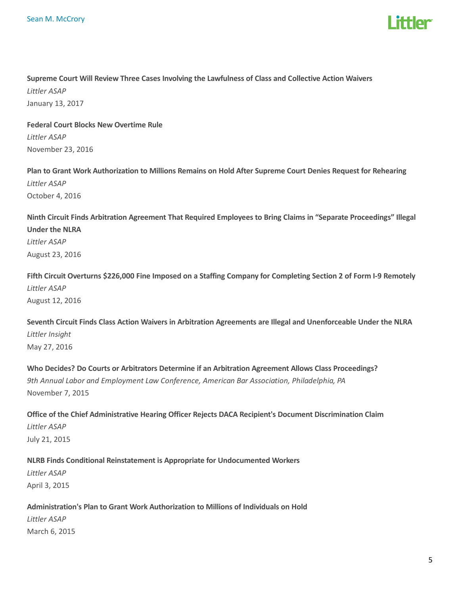

# Supreme Court Will Review Three Cases Involving the Lawfulness of Class and Collective Action Waivers Littler ASAP January 13, 2017

Federal Court Blocks New Overtime Rule Littler ASAP November 23, 2016

Plan to Grant Work Authorization to Millions Remains on Hold After Supreme Court Denies Request for Rehearing Littler ASAP October 4, 2016

Ninth Circuit Finds Arbitration Agreement That Required Employees to Bring Claims in "Separate Proceedings" Illegal Under the NLRA Littler ASAP August 23, 2016

Fifth Circuit Overturns \$226,000 Fine Imposed on a Staffing Company for Completing Section 2 of Form I-9 Remotely Littler ASAP August 12, 2016

Seventh Circuit Finds Class Action Waivers in Arbitration Agreements are Illegal and Unenforceable Under the NLRA Littler Insight May 27, 2016

Who Decides? Do Courts or Arbitrators Determine if an Arbitration Agreement Allows Class Proceedings? 9th Annual Labor and Employment Law Conference, American Bar Association, Philadelphia, PA November 7, 2015

Office of the Chief Administrative Hearing Officer Rejects DACA Recipient's Document Discrimination Claim Littler ASAP July 21, 2015

NLRB Finds Conditional Reinstatement is Appropriate for Undocumented Workers Littler ASAP April 3, 2015

# Administration's Plan to Grant Work Authorization to Millions of Individuals on Hold

Littler ASAP March 6, 2015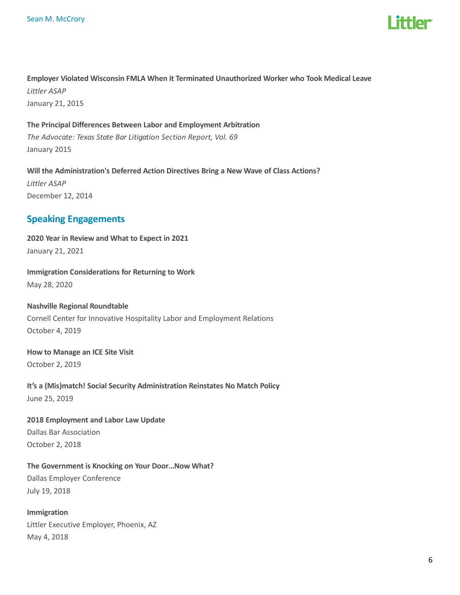

Employer Violated Wisconsin FMLA When it Terminated Unauthorized Worker who Took Medical Leave Littler ASAP January 21, 2015

The Principal Differences Between Labor and Employment Arbitration The Advocate: Texas State Bar Litigation Section Report, Vol. 69 January 2015

Will the Administration's Deferred Action Directives Bring a New Wave of Class Actions? Littler ASAP December 12, 2014

# Speaking Engagements

2020 Year in Review and What to Expect in 2021 January 21, 2021

Immigration Considerations for Returning to Work

May 28, 2020

Nashville Regional Roundtable Cornell Center for Innovative Hospitality Labor and Employment Relations October 4, 2019

# How to Manage an ICE Site Visit

October 2, 2019

It's a (Mis)match! Social Security Administration Reinstates No Match Policy June 25, 2019

2018 Employment and Labor Law Update Dallas Bar Association October 2, 2018

The Government is Knocking on Your Door…Now What?

Dallas Employer Conference July 19, 2018

Immigration Littler Executive Employer, Phoenix, AZ May 4, 2018